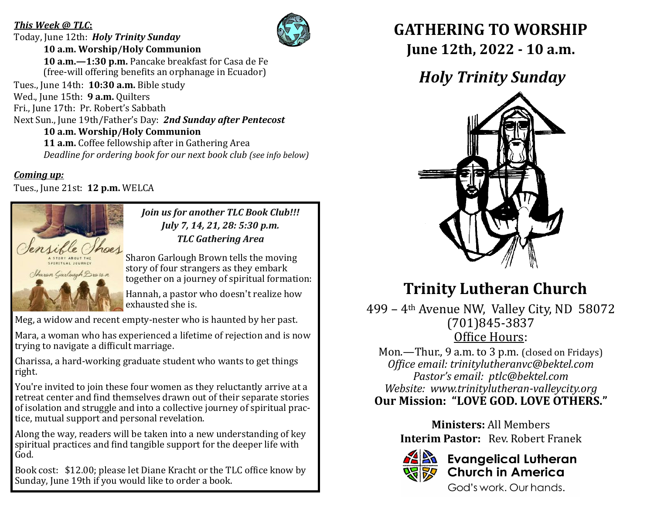#### *This Week @ TLC***:**

Today, June 12th: *Holy Trinity Sunday* **10 a.m. Worship/Holy Communion**



 **10 a.m.—1:30 p.m.** Pancake breakfast for Casa de Fe (free-will offering benefits an orphanage in Ecuador)

Tues., June 14th: **10:30 a.m.** Bible study Wed., June 15th: **9 a.m.** Quilters Fri., June 17th: Pr. Robert's Sabbath Next Sun., June 19th/Father's Day: *2nd Sunday after Pentecost* **10 a.m. Worship/Holy Communion 11 a.m.** Coffee fellowship after in Gathering Area

*Deadline for ordering book for our next book club (see info below)*

*Coming up:*

Tues., June 21st: **12 p.m.** WELCA



*Join us for another TLC Book Club!!! July 7, 14, 21, 28: 5:30 p.m. TLC Gathering Area*

Sharon Garlough Brown tells the moving story of four strangers as they embark together on a journey of spiritual formation:

Hannah, a pastor who doesn't realize how exhausted she is.

Meg, a widow and recent empty-nester who is haunted by her past.

Mara, a woman who has experienced a lifetime of rejection and is now trying to navigate a difficult marriage.

Charissa, a hard-working graduate student who wants to get things right.

You're invited to join these four women as they reluctantly arrive at a retreat center and find themselves drawn out of their separate stories of isolation and struggle and into a collective journey of spiritual practice, mutual support and personal revelation.

Along the way, readers will be taken into a new understanding of key spiritual practices and find tangible support for the deeper life with God.

Book cost: \$12.00; please let Diane Kracht or the TLC office know by Sunday, June 19th if you would like to order a book.

### **GATHERING TO WORSHIP June 12th, 2022 - 10 a.m.**

## *Holy Trinity Sunday*



# **Trinity Lutheran Church**

499 – 4th Avenue NW, Valley City, ND 58072 (701)845-3837 Office Hours:

Mon.—Thur., 9 a.m. to 3 p.m. (closed on Fridays) *Office email: trinitylutheranvc@bektel.com Pastor's email: ptlc@bektel.com Website: www.trinitylutheran-valleycity.org* **Our Mission: "LOVE GOD. LOVE OTHERS."**

> **Ministers:** All Members **Interim Pastor:** Rev. Robert Franek



### **Evangelical Lutheran Church in America**

God's work, Our hands.